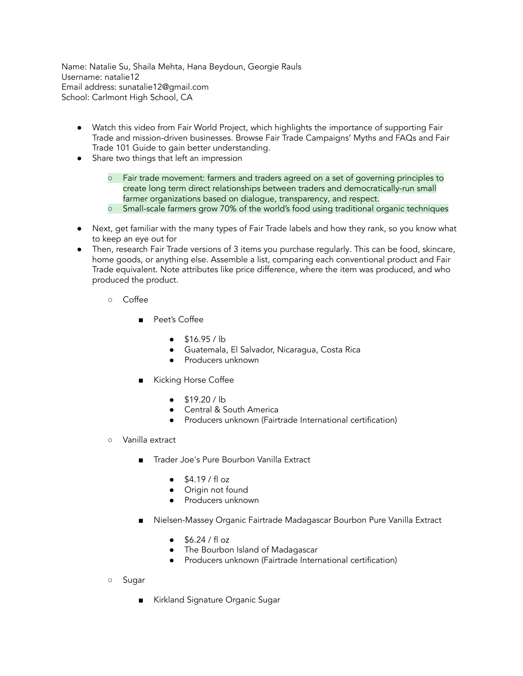Name: Natalie Su, Shaila Mehta, Hana Beydoun, Georgie Rauls Username: natalie12 Email address: sunatalie12@gmail.com School: Carlmont High School, CA

- Watch this video from Fair World Project, which highlights the importance of supporting Fair Trade and mission-driven businesses. Browse Fair Trade Campaigns' Myths and FAQs and Fair Trade 101 Guide to gain better understanding.
- Share two things that left an impression
	- Fair trade movement: farmers and traders agreed on a set of governing principles to create long term direct relationships between traders and democratically-run small farmer organizations based on dialogue, transparency, and respect.
	- Small-scale farmers grow 70% of the world's food using traditional organic techniques
- Next, get familiar with the many types of Fair Trade labels and how they rank, so you know what to keep an eye out for
- Then, research Fair Trade versions of 3 items you purchase regularly. This can be food, skincare, home goods, or anything else. Assemble a list, comparing each conventional product and Fair Trade equivalent. Note attributes like price difference, where the item was produced, and who produced the product.
	- Coffee
		- Peet's Coffee
			- \$16.95 / lb
			- Guatemala, El Salvador, Nicaragua, Costa Rica
			- Producers unknown
		- Kicking Horse Coffee
			- \$19.20 / lb
			- Central & South America
			- Producers unknown (Fairtrade International certification)
	- Vanilla extract
		- Trader Joe's Pure Bourbon Vanilla Extract
			- \$4.19 / fl oz
			- Origin not found
			- Producers unknown
		- Nielsen-Massey Organic Fairtrade Madagascar Bourbon Pure Vanilla Extract
			- $\bullet$  \$6.24 / fl oz
			- The Bourbon Island of Madagascar
			- Producers unknown (Fairtrade International certification)
	- Sugar
		- Kirkland Signature Organic Sugar